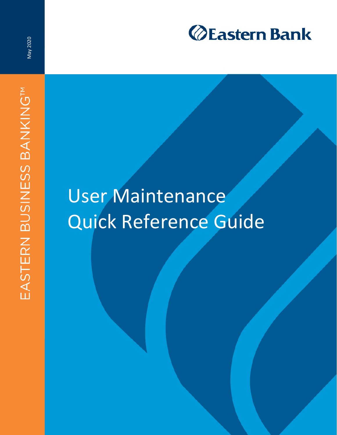

May 2020

# User Maintenance Quick Reference Guide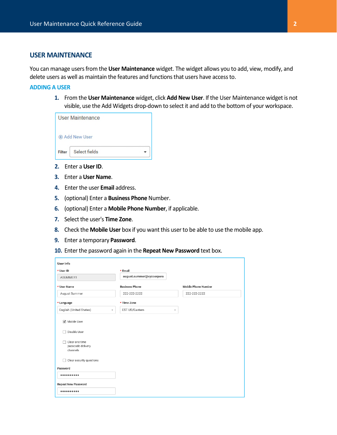## **USER MAINTENANCE**

You can manage users from the **User Maintenance** widget. The widget allows you to add, view, modify, and delete users as well as maintain the features and functions that users have access to.

#### **ADDING A USER**

**1.** From the **User Maintenance** widget, click **Add New User**. If the User Maintenance widget is not visible, use the Add Widgets drop-down to select it and add to the bottom of your workspace.

|               | User Maintenance    |  |
|---------------|---------------------|--|
|               | <b>Add New User</b> |  |
| <b>Filter</b> | Select fields       |  |

- **2.** Enter a **User ID**.
- **3.** Enter a **User Name**.
- **4.** Enter the user **Email** address.
- **5.** (optional) Enter a **Business Phone** Number.
- **6.** (optional) Enter a **Mobile Phone Number**, if applicable.
- **7.** Select the user's **Time Zone**.
- **8.** Check the **Mobile User** box if you want this user to be able to use the mobile app.
- **9.** Enter a temporary **Password**.
- **10.** Enter the password again in the **Repeat New Password** text box.

| User Info                                          |                                           |                            |
|----------------------------------------------------|-------------------------------------------|----------------------------|
| * User ID                                          | * Email                                   |                            |
| ASUMMER1                                           | august.summer@xyzcorpora                  |                            |
| * User Name                                        | <b>Business Phone</b>                     | <b>Mobile Phone Number</b> |
| August Summer                                      | 222-222-2222                              | 222-222-2222               |
| * Language                                         | * Time Zone                               |                            |
| English (United States)<br>$\overline{\mathbf{v}}$ | EST US/Eastern<br>$\overline{\mathbf{v}}$ |                            |
| Mobile User<br>Disable User<br>Clear one time      |                                           |                            |
| passcode delivery<br>channels                      |                                           |                            |
| Clear security questions                           |                                           |                            |
| Password                                           |                                           |                            |
|                                                    |                                           |                            |
| <b>Repeat New Password</b>                         |                                           |                            |
|                                                    |                                           |                            |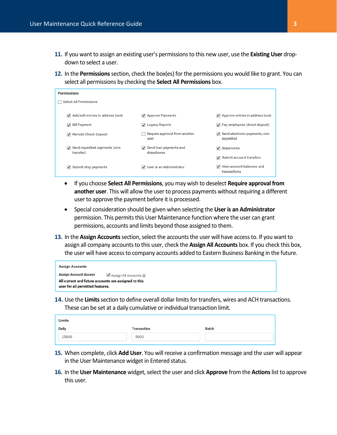- **11.** If you want to assign an existing user's permissions to this new user, use the **Existing User** dropdown to select a user.
- **12.** In the **Permissions** section, check the box(es) for the permissions you would like to grant. You can select all permissions by checking the **Select All Permissions** box.

| Permissions            |                                                       |                                       |                                                                  |
|------------------------|-------------------------------------------------------|---------------------------------------|------------------------------------------------------------------|
| Select All Permissions |                                                       |                                       |                                                                  |
|                        | $\sqrt{\phantom{a}}$ Add/edit entries to address book | Approve Payments                      | $\sqrt{\phantom{a}}$ Approve entries in address book             |
|                        | <b>√</b> Bill Payment                                 | V Legacy Reports                      | Pay employees (direct deposit)                                   |
|                        | Remote Check Deposit                                  | Require approval from another<br>user | $\sqrt{\phantom{a}}$ Send electronic payments, non-<br>expedited |
|                        | $\sqrt{\phantom{a}}$ Send expedited payments (wire    | Send loan payments and                | $\sqrt{ }$ Statements                                            |
|                        | transfer)                                             | drawdowns                             | Submit account transfers                                         |
|                        | $\triangledown$ Submit stop payments                  | User is an Administrator              | √ View account balances and<br>transactions                      |

- If you choose **Select All Permissions**, you may wish to deselect **Require approval from another user**. This will allow the user to process payments without requiring a different user to approve the payment before it is processed.
- Special consideration should be given when selecting the **User is an Administrator** permission. This permits this User Maintenance function where the user can grant permissions, accounts and limits beyond those assigned to them.
- **13.** In the **Assign Accounts** section, select the accounts the user will have access to. If you want to assign all company accounts to this user, check the **Assign All Accounts** box. If you check this box, the user will have access to company accounts added to Eastern Business Banking in the future.

| <b>Assign Accounts</b>           |                                                             |
|----------------------------------|-------------------------------------------------------------|
| <b>Assign Account Access</b>     | $\blacktriangleright$ Assign All Accounts $\textcircled{1}$ |
| user for all permitted features. | All current and future accounts are assigned to this        |

**14.** Use the **Limits** section to define overall dollar limits for transfers, wires and ACH transactions. These can be set at a daily cumulative or individual transaction limit.

| Limits |             |       |
|--------|-------------|-------|
| Daily  | Transaction | Batch |
| 25000  | 5000        |       |

- **15.** When complete, click **Add User**. You will receive a confirmation message and the user will appear in the User Maintenance widget in Entered status.
- **16.** In the **User Maintenance** widget, select the user and click **Approve** from the **Actions** list to approve this user.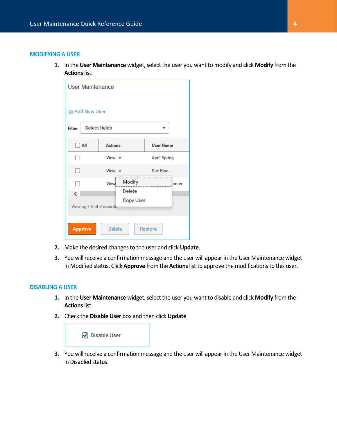## **MODIFYING A USER**

**1.** In the **User Maintenance** widget, select the user you want to modify and click **Modify** from the **Actions** list.

| <b>User Maintenance</b>                    |                                              |                  |
|--------------------------------------------|----------------------------------------------|------------------|
| <b>Add New User</b>                        |                                              |                  |
| Filter                                     | Select fields                                |                  |
| All<br>- 1                                 | <b>Actions</b>                               | <b>User Name</b> |
|                                            | View $\rightarrow$                           | April Spring     |
|                                            | View                                         | Sue Blue         |
| ∢                                          | Modify<br><b>View</b><br>Delete<br>Copy User | mmer             |
| Viewing 1-3 of 3 records<br><b>Approve</b> | <b>Delete</b>                                | <b>Restore</b>   |

- **2.** Make the desired changes to the user and click **Update**.
- **3.** You will receive a confirmation message and the user will appear in the User Maintenance widget in Modified status. Click **Approve** from the **Actions** list to approve the modifications to this user.

### **DISABLING A USER**

- **1.** In the **User Maintenance** widget, select the user you want to disable and click **Modify** from the **Actions** list.
- **2.** Check the **Disable User** box and then click **Update**.



**3.** You will receive a confirmation message and the user will appear in the User Maintenance widget in Disabled status.